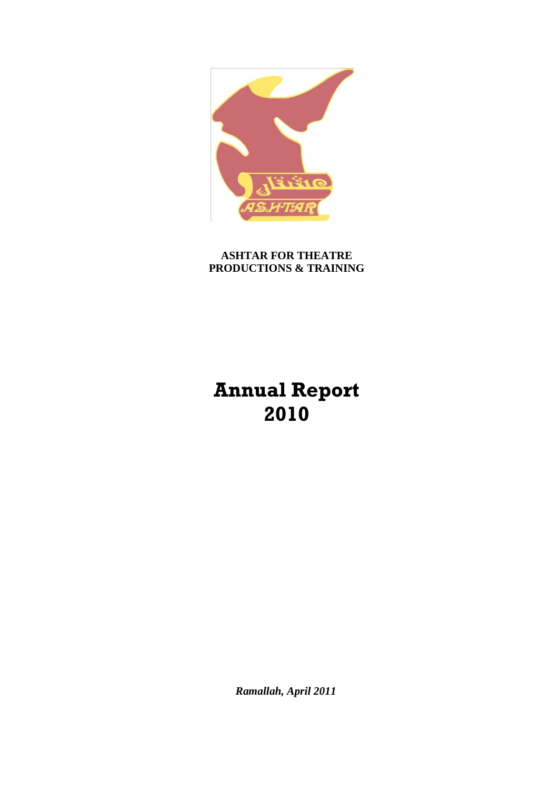

**ASHTAR FOR THEATRE PRODUCTIONS & TRAINING**

# **Annual Report 2010**

*Ramallah, April 2011*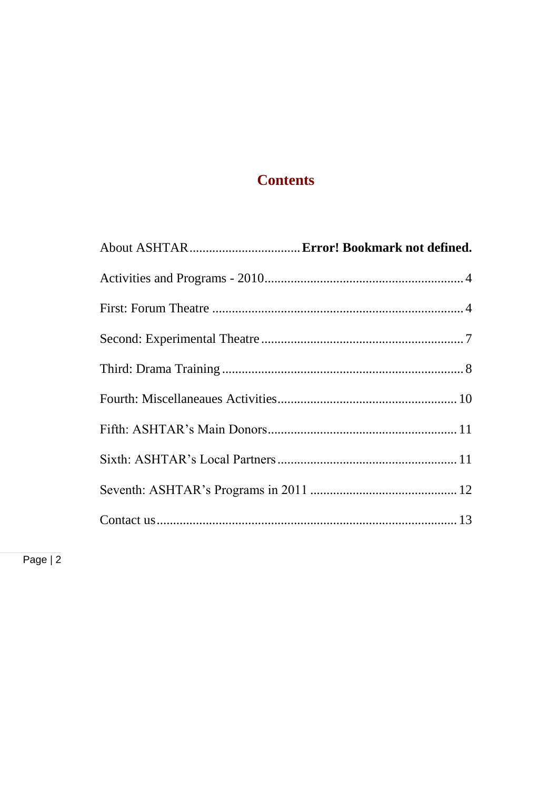# **Contents**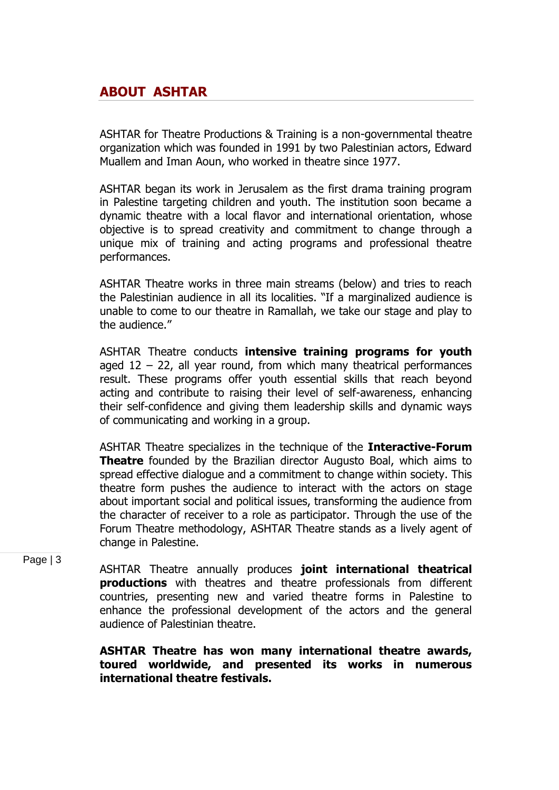# **ABOUT ASHTAR**

ASHTAR for Theatre Productions & Training is a non-governmental theatre organization which was founded in 1991 by two Palestinian actors, Edward Muallem and Iman Aoun, who worked in theatre since 1977.

ASHTAR began its work in Jerusalem as the first drama training program in Palestine targeting children and youth. The institution soon became a dynamic theatre with a local flavor and international orientation, whose objective is to spread creativity and commitment to change through a unique mix of training and acting programs and professional theatre performances.

ASHTAR Theatre works in three main streams (below) and tries to reach the Palestinian audience in all its localities. "If a marginalized audience is unable to come to our theatre in Ramallah, we take our stage and play to the audience."

ASHTAR Theatre conducts **intensive training programs for youth** aged  $12 - 22$ , all year round, from which many theatrical performances result. These programs offer youth essential skills that reach beyond acting and contribute to raising their level of self-awareness, enhancing their self-confidence and giving them leadership skills and dynamic ways of communicating and working in a group.

ASHTAR Theatre specializes in the technique of the **Interactive-Forum Theatre** founded by the Brazilian director Augusto Boal, which aims to spread effective dialogue and a commitment to change within society. This theatre form pushes the audience to interact with the actors on stage about important social and political issues, transforming the audience from the character of receiver to a role as participator. Through the use of the Forum Theatre methodology, ASHTAR Theatre stands as a lively agent of change in Palestine.

Page | 3

ASHTAR Theatre annually produces **joint international theatrical productions** with theatres and theatre professionals from different countries, presenting new and varied theatre forms in Palestine to enhance the professional development of the actors and the general audience of Palestinian theatre.

**ASHTAR Theatre has won many international theatre awards, toured worldwide, and presented its works in numerous international theatre festivals.**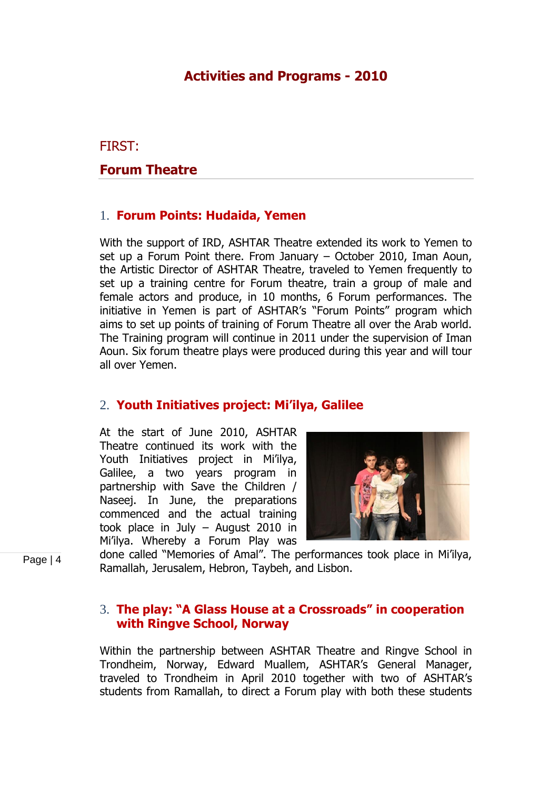# **Activities and Programs - 2010**

<span id="page-3-1"></span><span id="page-3-0"></span>FIRST:

#### **Forum Theatre**

#### 1. **Forum Points: Hudaida, Yemen**

With the support of IRD, ASHTAR Theatre extended its work to Yemen to set up a Forum Point there. From January – October 2010, Iman Aoun, the Artistic Director of ASHTAR Theatre, traveled to Yemen frequently to set up a training centre for Forum theatre, train a group of male and female actors and produce, in 10 months, 6 Forum performances. The initiative in Yemen is part of ASHTAR's "Forum Points" program which aims to set up points of training of Forum Theatre all over the Arab world. The Training program will continue in 2011 under the supervision of Iman Aoun. Six forum theatre plays were produced during this year and will tour all over Yemen.

#### 2. **Youth Initiatives project: Mi'ilya, Galilee**

At the start of June 2010, ASHTAR Theatre continued its work with the Youth Initiatives project in Mi"ilya, Galilee, a two years program in partnership with Save the Children / Naseej. In June, the preparations commenced and the actual training took place in July – August 2010 in Mi"ilya. Whereby a Forum Play was



done called "Memories of Amal". The performances took place in Mi"ilya, Ramallah, Jerusalem, Hebron, Taybeh, and Lisbon.

#### 3. **The play: "A Glass House at a Crossroads" in cooperation with Ringve School, Norway**

Within the partnership between ASHTAR Theatre and Ringve School in Trondheim, Norway, Edward Muallem, ASHTAR"s General Manager, traveled to Trondheim in April 2010 together with two of ASHTAR"s students from Ramallah, to direct a Forum play with both these students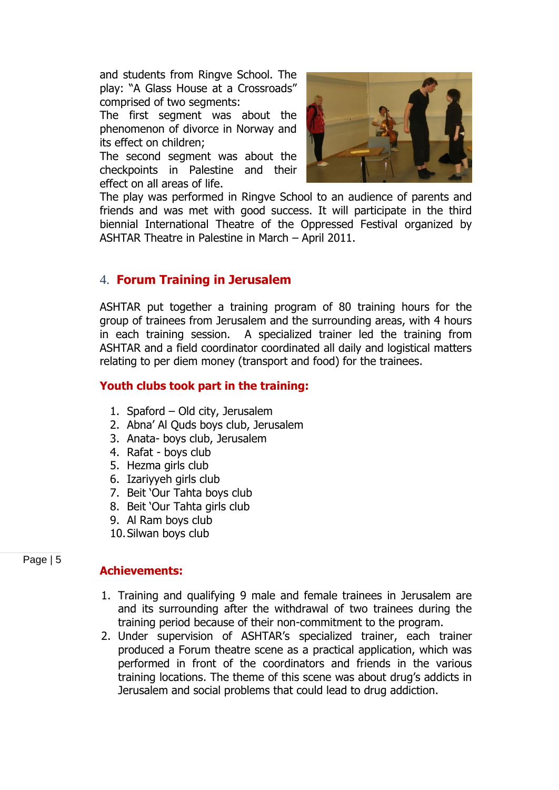and students from Ringve School. The play: "A Glass House at a Crossroads" comprised of two segments:

The first segment was about the phenomenon of divorce in Norway and its effect on children;

The second segment was about the checkpoints in Palestine and their effect on all areas of life.



The play was performed in Ringve School to an audience of parents and friends and was met with good success. It will participate in the third biennial International Theatre of the Oppressed Festival organized by ASHTAR Theatre in Palestine in March – April 2011.

#### 4. **Forum Training in Jerusalem**

ASHTAR put together a training program of 80 training hours for the group of trainees from Jerusalem and the surrounding areas, with 4 hours in each training session. A specialized trainer led the training from ASHTAR and a field coordinator coordinated all daily and logistical matters relating to per diem money (transport and food) for the trainees.

#### **Youth clubs took part in the training:**

- 1. Spaford Old city, Jerusalem
- 2. Abna" Al Quds boys club, Jerusalem
- 3. Anata- boys club, Jerusalem
- 4. Rafat boys club
- 5. Hezma girls club
- 6. Izariyyeh girls club
- 7. Beit "Our Tahta boys club
- 8. Beit "Our Tahta girls club
- 9. Al Ram boys club
- 10.Silwan boys club

Page | 5

#### **Achievements:**

- 1. Training and qualifying 9 male and female trainees in Jerusalem are and its surrounding after the withdrawal of two trainees during the training period because of their non-commitment to the program.
- 2. Under supervision of ASHTAR"s specialized trainer, each trainer produced a Forum theatre scene as a practical application, which was performed in front of the coordinators and friends in the various training locations. The theme of this scene was about drug"s addicts in Jerusalem and social problems that could lead to drug addiction.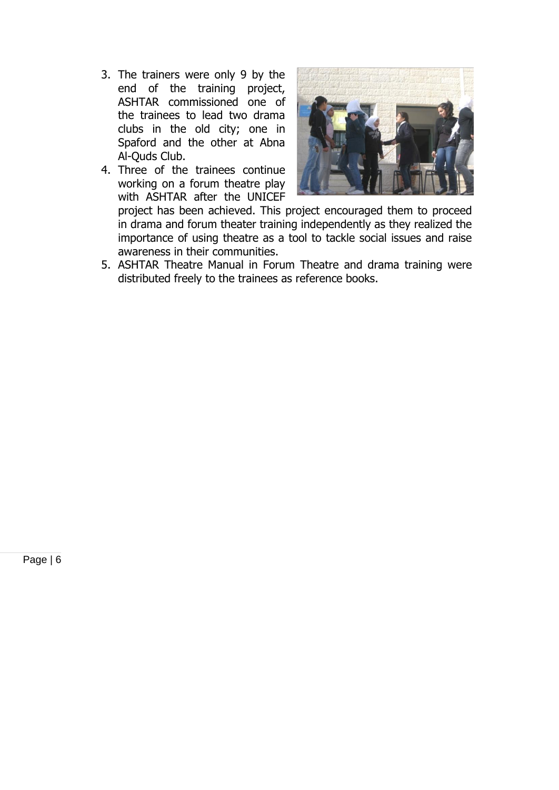- 3. The trainers were only 9 by the end of the training project, ASHTAR commissioned one of the trainees to lead two drama clubs in the old city; one in Spaford and the other at Abna Al-Quds Club.
- 4. Three of the trainees continue working on a forum theatre play with ASHTAR after the UNICEF



project has been achieved. This project encouraged them to proceed in drama and forum theater training independently as they realized the importance of using theatre as a tool to tackle social issues and raise awareness in their communities.

5. ASHTAR Theatre Manual in Forum Theatre and drama training were distributed freely to the trainees as reference books.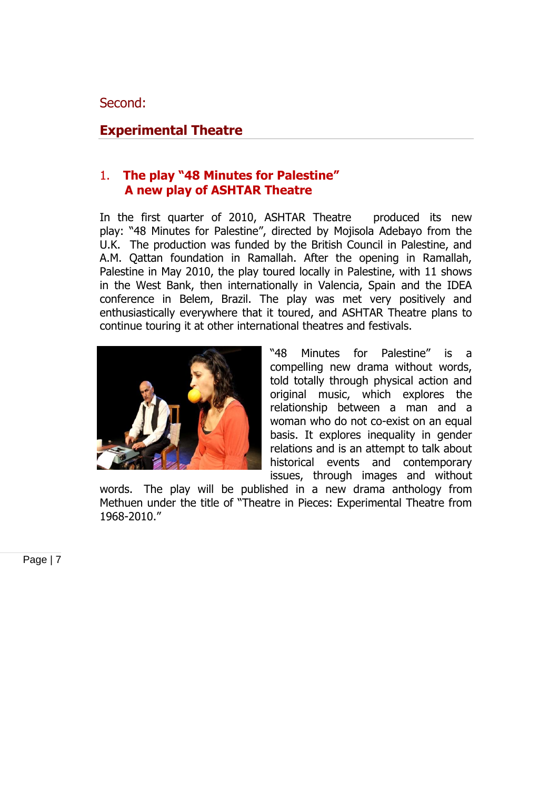## <span id="page-6-0"></span>**Experimental Theatre**

# 1. **The play "48 Minutes for Palestine" A new play of ASHTAR Theatre**

In the first quarter of 2010, ASHTAR Theatre produced its new play: "48 Minutes for Palestine", directed by Mojisola Adebayo from the U.K. The production was funded by the British Council in Palestine, and A.M. Qattan foundation in Ramallah. After the opening in Ramallah, Palestine in May 2010, the play toured locally in Palestine, with 11 shows in the West Bank, then internationally in Valencia, Spain and the IDEA conference in Belem, Brazil. The play was met very positively and enthusiastically everywhere that it toured, and ASHTAR Theatre plans to continue touring it at other international theatres and festivals.



"48 Minutes for Palestine" is a compelling new drama without words, told totally through physical action and original music, which explores the relationship between a man and a woman who do not co-exist on an equal basis. It explores inequality in gender relations and is an attempt to talk about historical events and contemporary issues, through images and without

words. The play will be published in a new drama anthology from Methuen under the title of "Theatre in Pieces: Experimental Theatre from 1968-2010."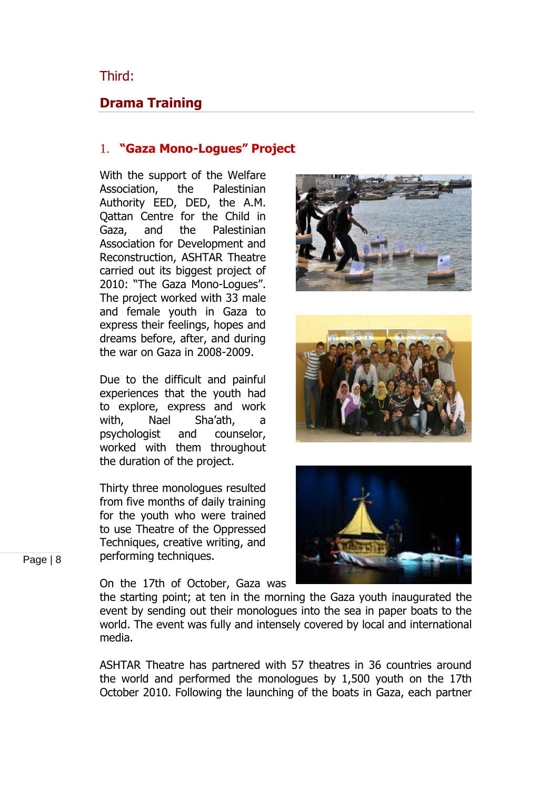<span id="page-7-0"></span>Third:

# **Drama Training**

#### 1. **"Gaza Mono-Logues" Project**

With the support of the Welfare Association, the Palestinian Authority EED, DED, the A.M. Qattan Centre for the Child in Gaza, and the Palestinian Association for Development and Reconstruction, ASHTAR Theatre carried out its biggest project of 2010: "The Gaza Mono-Logues". The project worked with 33 male and female youth in Gaza to express their feelings, hopes and dreams before, after, and during the war on Gaza in 2008-2009.

Due to the difficult and painful experiences that the youth had to explore, express and work with, Nael Sha"ath, a psychologist and counselor, worked with them throughout the duration of the project.

Thirty three monologues resulted from five months of daily training for the youth who were trained to use Theatre of the Oppressed Techniques, creative writing, and performing techniques.

On the 17th of October, Gaza was







the starting point; at ten in the morning the Gaza youth inaugurated the event by sending out their monologues into the sea in paper boats to the world. The event was fully and intensely covered by local and international media.

ASHTAR Theatre has partnered with 57 theatres in 36 countries around the world and performed the monologues by 1,500 youth on the 17th October 2010. Following the launching of the boats in Gaza, each partner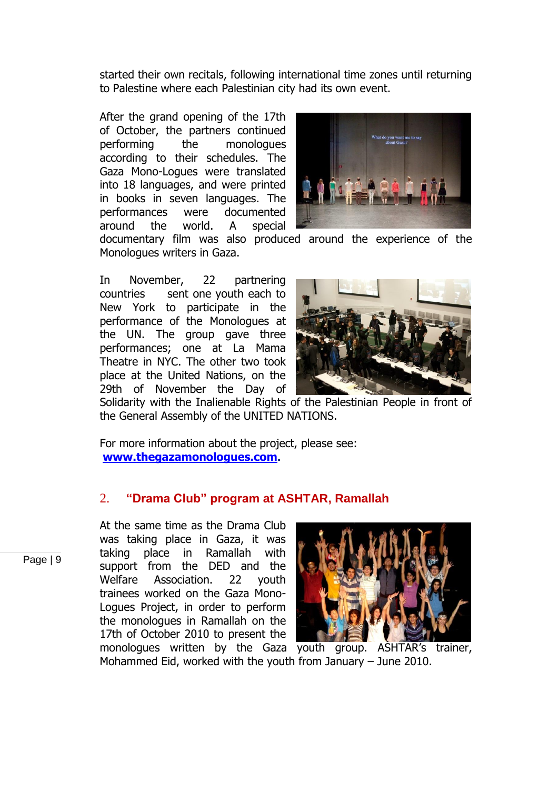started their own recitals, following international time zones until returning to Palestine where each Palestinian city had its own event.

After the grand opening of the 17th of October, the partners continued performing the monologues according to their schedules. The Gaza Mono-Logues were translated into 18 languages, and were printed in books in seven languages. The performances were documented around the world. A special



documentary film was also produced around the experience of the Monologues writers in Gaza.

In November, 22 partnering countries sent one youth each to New York to participate in the performance of the Monologues at the UN. The group gave three performances; one at La Mama Theatre in NYC. The other two took place at the United Nations, on the 29th of November the Day of



Solidarity with the Inalienable Rights of the Palestinian People in front of the General Assembly of the UNITED NATIONS.

For more information about the project, please see: **[www.thegazamonologues.com](http://www.thegazamonologues.com/).**

## 2. **"Drama Club" program at ASHTAR, Ramallah**

Page | 9

At the same time as the Drama Club was taking place in Gaza, it was taking place in Ramallah with support from the DED and the Welfare Association. 22 youth trainees worked on the Gaza Mono-Logues Project, in order to perform the monologues in Ramallah on the 17th of October 2010 to present the



monologues written by the Gaza youth group. ASHTAR's trainer, Mohammed Eid, worked with the youth from January – June 2010.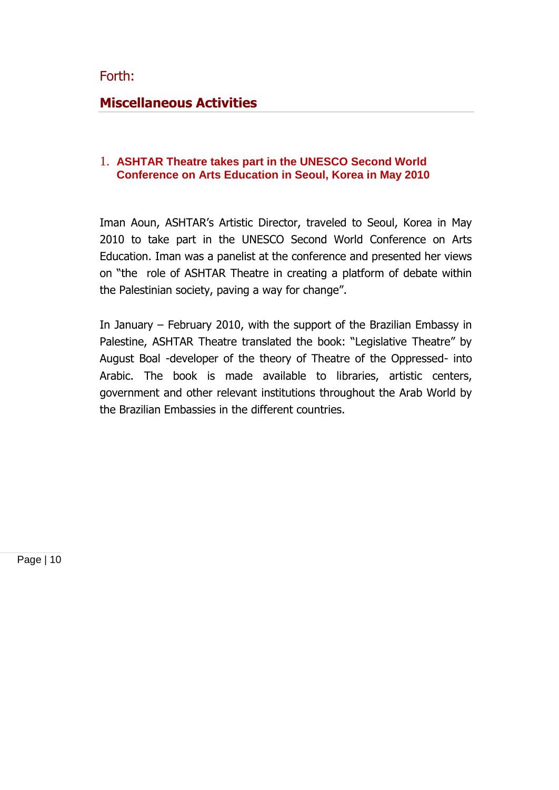<span id="page-9-0"></span>Forth:

## **Miscellaneous Activities**

#### 1. **ASHTAR Theatre takes part in the UNESCO Second World Conference on Arts Education in Seoul, Korea in May 2010**

Iman Aoun, ASHTAR's Artistic Director, traveled to Seoul, Korea in May 2010 to take part in the UNESCO Second World Conference on Arts Education. Iman was a panelist at the conference and presented her views on "the role of ASHTAR Theatre in creating a platform of debate within the Palestinian society, paving a way for change".

In January – February 2010, with the support of the Brazilian Embassy in Palestine, ASHTAR Theatre translated the book: "Legislative Theatre" by August Boal -developer of the theory of Theatre of the Oppressed- into Arabic. The book is made available to libraries, artistic centers, government and other relevant institutions throughout the Arab World by the Brazilian Embassies in the different countries.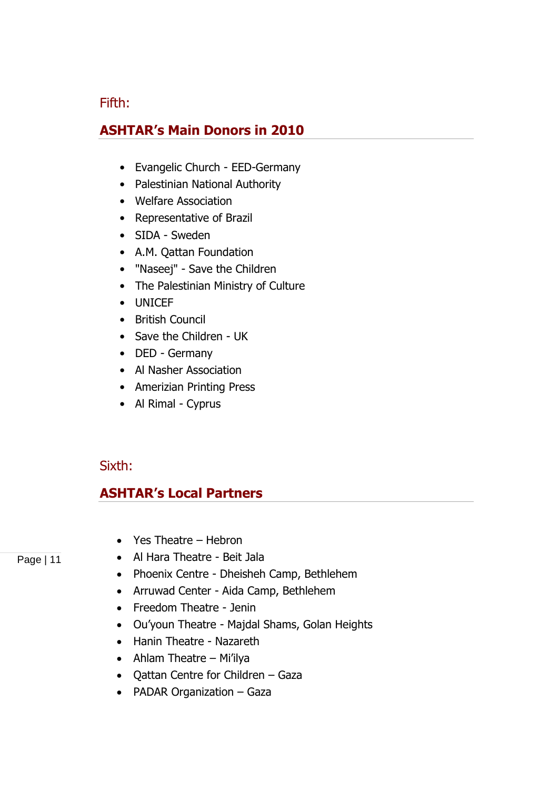#### Fifth:

# **ASHTAR's Main Donors in 2010**

- Evangelic Church EED-Germany
- Palestinian National Authority
- Welfare Association
- Representative of Brazil
- SIDA Sweden
- A.M. Qattan Foundation
- "Naseej" Save the Children
- The Palestinian Ministry of Culture
- UNICEF
- British Council
- Save the Children UK
- DED Germany
- Al Nasher Association
- Amerizian Printing Press
- Al Rimal Cyprus

#### Sixth:

#### **ASHTAR's Local Partners**

- Yes Theatre Hebron
- Al Hara Theatre Beit Jala
- Phoenix Centre Dheisheh Camp, Bethlehem
- Arruwad Center Aida Camp, Bethlehem
- Freedom Theatre Jenin
- Ou"youn Theatre Majdal Shams, Golan Heights
- Hanin Theatre Nazareth
- $\bullet$  Ahlam Theatre Mi'ilya
- Qattan Centre for Children Gaza
- PADAR Organization Gaza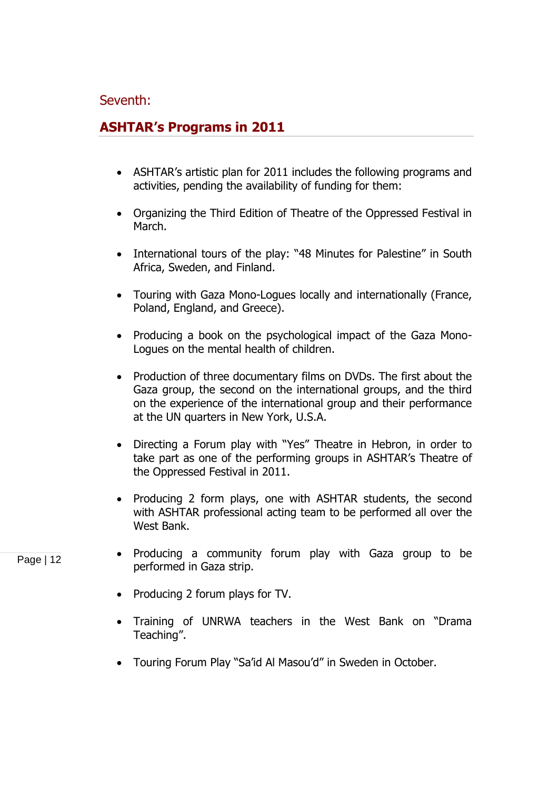#### Seventh:

# **ASHTAR's Programs in 2011**

- ASHTAR's artistic plan for 2011 includes the following programs and activities, pending the availability of funding for them:
- Organizing the Third Edition of Theatre of the Oppressed Festival in March.
- International tours of the play: "48 Minutes for Palestine" in South Africa, Sweden, and Finland.
- Touring with Gaza Mono-Logues locally and internationally (France, Poland, England, and Greece).
- Producing a book on the psychological impact of the Gaza Mono-Logues on the mental health of children.
- Production of three documentary films on DVDs. The first about the Gaza group, the second on the international groups, and the third on the experience of the international group and their performance at the UN quarters in New York, U.S.A.
- Directing a Forum play with "Yes" Theatre in Hebron, in order to take part as one of the performing groups in ASHTAR's Theatre of the Oppressed Festival in 2011.
- Producing 2 form plays, one with ASHTAR students, the second with ASHTAR professional acting team to be performed all over the West Bank.
- Producing a community forum play with Gaza group to be performed in Gaza strip.
- Producing 2 forum plays for TV.
- Training of UNRWA teachers in the West Bank on "Drama Teaching".
- Touring Forum Play "Sa"id Al Masou"d" in Sweden in October.